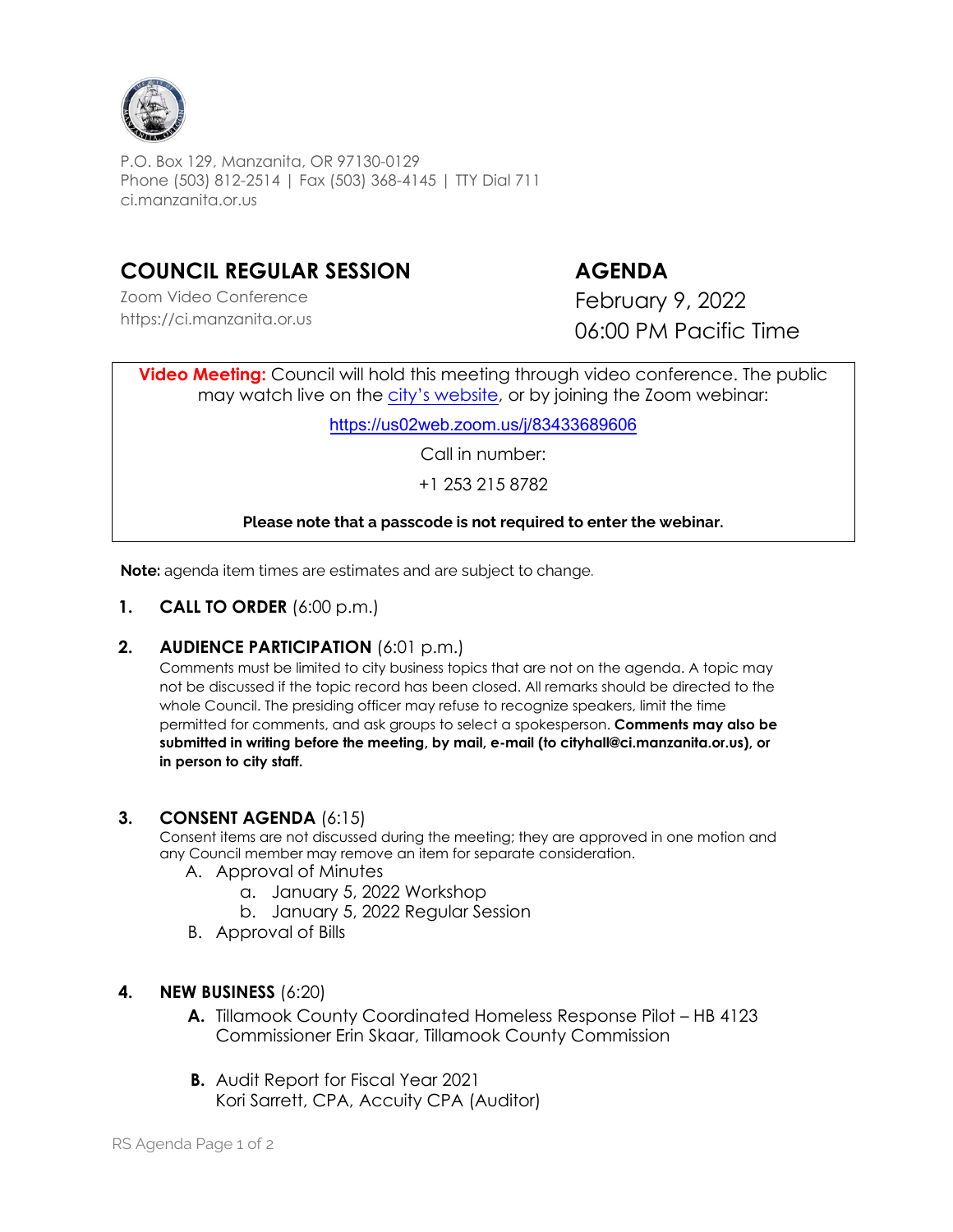

P.O. Box 129, Manzanita, OR 97130-0129 Phone (503) 812-2514 | Fax (503) 368-4145 | TTY Dial 711 ci.manzanita.or.us

# **COUNCIL REGULAR SESSION AGENDA**

Zoom Video Conference https://ci.manzanita.or.us

February 9, 2022 06:00 PM Pacific Time

**Video Meeting:** Council will hold this meeting through video conference. The public may watch live on the city's [website](https://ci.manzanita.or.us/broadcast), or by joining the Zoom webinar:

<https://us02web.zoom.us/j/83433689606>

Call in number:

+1 253 215 8782

## **Please note that a passcode is not required to enter the webinar.**

**Note:** agenda item times are estimates and are subject to change.

**1. CALL TO ORDER** (6:00 p.m.)

## **2. AUDIENCE PARTICIPATION** (6:01 p.m.)

Comments must be limited to city business topics that are not on the agenda. A topic may not be discussed if the topic record has been closed. All remarks should be directed to the whole Council. The presiding officer may refuse to recognize speakers, limit the time permitted for comments, and ask groups to select a spokesperson. **Comments may also be submitted in writing before the meeting, by mail, e-mail (to cityhall@ci.manzanita.or.us), or in person to city staff.**

## **3. CONSENT AGENDA** (6:15)

Consent items are not discussed during the meeting; they are approved in one motion and any Council member may remove an item for separate consideration.

- A. Approval of Minutes
	- a. January 5, 2022 Workshop
	- b. January 5, 2022 Regular Session
- B. Approval of Bills
- **4. NEW BUSINESS** (6:20)
	- **A.** Tillamook County Coordinated Homeless Response Pilot HB 4123 Commissioner Erin Skaar, Tillamook County Commission
	- **B.** Audit Report for Fiscal Year 2021 Kori Sarrett, CPA, Accuity CPA (Auditor)